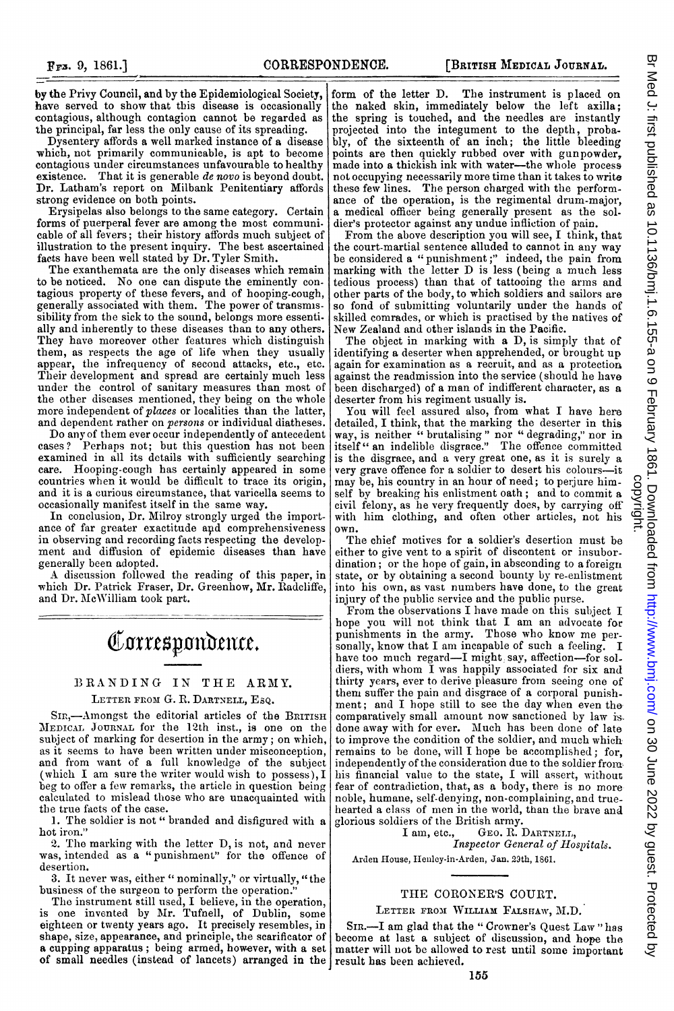Frs. 9, 1861.] CORRESPONDENCE. [BRITISH MEDICAL JOURNAL.

by the Privy Council, and by the Epidemiological Society, have served to show that this disease is occasionally contagious, although contagion cannot be regarded as the principal, far less the only cause of its spreading.

Dysentery affords a well marked instance of a disease which, not primarily communicable, is apt to become contagious under circumstances unfavourable to healthy existence. That it is generable de novo is bevond doubt. Dr. Latham's report on Milbank Penitentiary affords strong evidence on both points.

Erysipelas also belongs to the same category. Certain forms of puerperal fever are among the most communicable of all fevers; their history affords much subject of illustration to the present inquiry. The best ascertained facts have been well stated by Dr. Tyler Smith.

The exanthemata are the only diseases which remain to be noticed. No one can dispute the eminently contagious property of these fevers, and of hooping-cough, generally associated with them. The power of transmissibility from the sick to the sound, belongs more essentially and inherently to these diseases than to any others. They have moreover other features which distinguish them, as respects the age of life when they usually appear, the infrequency of second attacks, etc., etc. Their development and spread are certainly much less under the control of sanitary measures than most of the other diseases mentioned, they being on the whole more independent of places or localities than the latter, and dependent rather on persons or individual diatheses.

Do any of them ever occur independently of antecedent cases? Perhaps not; but this question has not been examined in all its details with sufficiently searching care. Hooping-cough has certainly appeared in some countries when it would be difficult to trace its origin, and it is a curious circumstance, that varicella seems to occasionally manifest itself in the same way.

In conclusion, Dr. Milroy strongly urged the importance of far greater exactitude and comprehensiveness in observing and recording facts respecting the development and diffusion of epidemic diseases than have generally been adopted.

A discussion followed the reading of this paper, in which Dr. Patrick Fraser, Dr. Greenhow, Mr. Radcliffe, and Dr. McWilliam took part.

# Correspondence.

## BRANDING IN THE ARMY. LETTER FROM G. R. DARTNELL, EsQ.

SIR,-Amongst the editorial articles of the BRITISH MEDICAL JOURNAL for the 12th inst., is one on the subject of marking for desertion in the army; on which, as it seems to have been written under misconception, and from want of a full knowledge of the subject (which I am sure the writer would wish to possess),I beg to offer a few remarks, the article in question being calculated to mislead those who are unacquainted with the true facts of the case.

1. The soldier is not " branded and disfigured with a hot iron."

2. The marking with the letter D, is not, and never was, intended as a "punishment" for the offence of desertion.

3. It never was, either " nominally," or virtually, "the business of the surgeon to perform the operation.

The instrument still used, I believe, in the operation, is one invented by Mr. Tufnell, of Dublin, some eighteen or twenty years ago. It precisely resembles, in shape, size, appearance, and principle, the scarificator of a cupping apparatus; being armed, however, with a set of small needles (instead of lancets) arranged in the result has been achieved.

form of the letter D. The instrument is placed on the naked skin, immediately below the left axilla; the spring is touched, and the needles are instantly projected into the integument to the depth, probably, of the sixteenth of an inch; the little bleeding points are then quickly rubbed over with gunpowder, made into a thickish ink with water-the whole process not occupying necessarily more time than it takes to write these few lines. The person charged with the performance of the operation, is the regimental drum-major, a medical officer being generally present as the soldier's protector against any undue infliction of pain.

From the above description you will see, I think, that the court-martial sentence alluded to cannot in any way be considered **a** "punishment;" indeed, the pain from<br>marking with the letter D is less (being a much less tedious process) than that of tattooing the arms and other parts of the body, to which soldiers and sailors are so fond of submitting voluntarily under the hands of skilled comrades, or which is practised by the natives of New Zealand and other islands in the Pacific.

The object in marking with a D, is simply that of identifying a deserter when apprehended, or brought up again for examination as a recruit, and as a protection against the readmission into the service (should he have been discharged) of <sup>a</sup> man of indifferent character, as <sup>a</sup> deserter from his regiment usually is.

You will feel assured also, from what I have here<br>detailed, I think, that the marking the deserter in this way, is neither " brutalising " nor " degrading," nor in itself" an indelible disgrace." The offence committed is the disgrace, and a very great one, as it is surely a very grave offence for a soldier to desert his colours-it may be, his country in an hour of need; to perjure himself by breaking his enlistment oath; and to commit a civil felony, as he very frequently does, by carrying off with him clothing, and often other articles, not his own.

The chief motives for a soldier's desertion must be either to give vent to a spirit of discontent or insubordination; or the hope of gain, in absconding to a foreign state, or by obtaining a second bounty by re-enlistmenit into his own, as vast numbers have done, to the great injury of the public service and the public purse.

From the observations I have made on this subject I hope you will not think that <sup>I</sup> am an advocate for punishments in the army. Those who know me per-<br>sonally, know that I am incapable of such a feeling. I sonally, know that I am incapable of such a feeling. have too much regard-I might say, affection-for soldiers, with whom <sup>I</sup> was happily associated for six and thirty years, ever to derive pleasure from seeing one of them suffer the pain and disgrace of a corporal punishment; and I hope still to see the day when even the comparatively small amount now sanctioned by law is.. done away with for ever. Much has been done of late to improve the condition of the soldier, and much which remains to be done, will I hope be accomplished; for, independently of the consideration due to the soldier froma; his financial value to the state, I will assert, without fear of contradiction, that, as a body, there is no more noble, humane, self-denying, non-complaining, and truehearted a class of men in the world, than the brave and glorious soldiers of the British army.<br>  $I$  am, etc., GEO. R.

GEO. R. DARTNELL,

Inspector General of Hospitals.

Arden House, Henley-in-Arden, Jan. 29th, 1861.

## THE CORONER'S COURT.

### LETTER FROM WILLIAM FALSHAW, M.D.

SIR.-I am glad that the "Crowner's Quest Law " has become at last a subject of discussion, and hope the matter will not be allowed to rest until some important